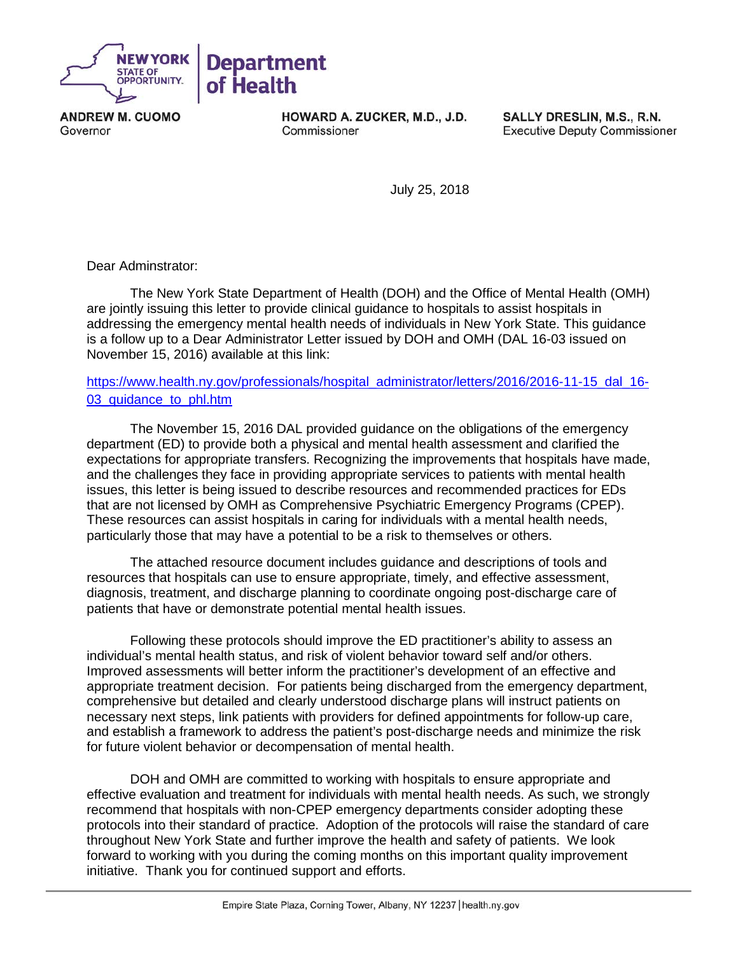

**ANDREW M. CUOMO** Governor

HOWARD A. ZUCKER, M.D., J.D. Commissioner

SALLY DRESLIN, M.S., R.N. **Executive Deputy Commissioner** 

July 25, 2018

Dear Adminstrator:

The New York State Department of Health (DOH) and the Office of Mental Health (OMH) are jointly issuing this letter to provide clinical guidance to hospitals to assist hospitals in addressing the emergency mental health needs of individuals in New York State. This guidance is a follow up to a Dear Administrator Letter issued by DOH and OMH (DAL 16-03 issued on November 15, 2016) available at this link:

## [https://www.health.ny.gov/professionals/hospital\\_administrator/letters/2016/2016-11-15\\_dal\\_16-](https://www.health.ny.gov/professionals/hospital_administrator/letters/2016/2016-11-15_dal_16-03_quidance_to_phl.htm) 03 quidance to phl.htm

The November 15, 2016 DAL provided guidance on the obligations of the emergency department (ED) to provide both a physical and mental health assessment and clarified the expectations for appropriate transfers. Recognizing the improvements that hospitals have made, and the challenges they face in providing appropriate services to patients with mental health issues, this letter is being issued to describe resources and recommended practices for EDs that are not licensed by OMH as Comprehensive Psychiatric Emergency Programs (CPEP). These resources can assist hospitals in caring for individuals with a mental health needs, particularly those that may have a potential to be a risk to themselves or others.

The attached resource document includes guidance and descriptions of tools and resources that hospitals can use to ensure appropriate, timely, and effective assessment, diagnosis, treatment, and discharge planning to coordinate ongoing post-discharge care of patients that have or demonstrate potential mental health issues.

Following these protocols should improve the ED practitioner's ability to assess an individual's mental health status, and risk of violent behavior toward self and/or others. Improved assessments will better inform the practitioner's development of an effective and appropriate treatment decision. For patients being discharged from the emergency department, comprehensive but detailed and clearly understood discharge plans will instruct patients on necessary next steps, link patients with providers for defined appointments for follow-up care, and establish a framework to address the patient's post-discharge needs and minimize the risk for future violent behavior or decompensation of mental health.

DOH and OMH are committed to working with hospitals to ensure appropriate and effective evaluation and treatment for individuals with mental health needs. As such, we strongly recommend that hospitals with non-CPEP emergency departments consider adopting these protocols into their standard of practice. Adoption of the protocols will raise the standard of care throughout New York State and further improve the health and safety of patients. We look forward to working with you during the coming months on this important quality improvement initiative. Thank you for continued support and efforts.